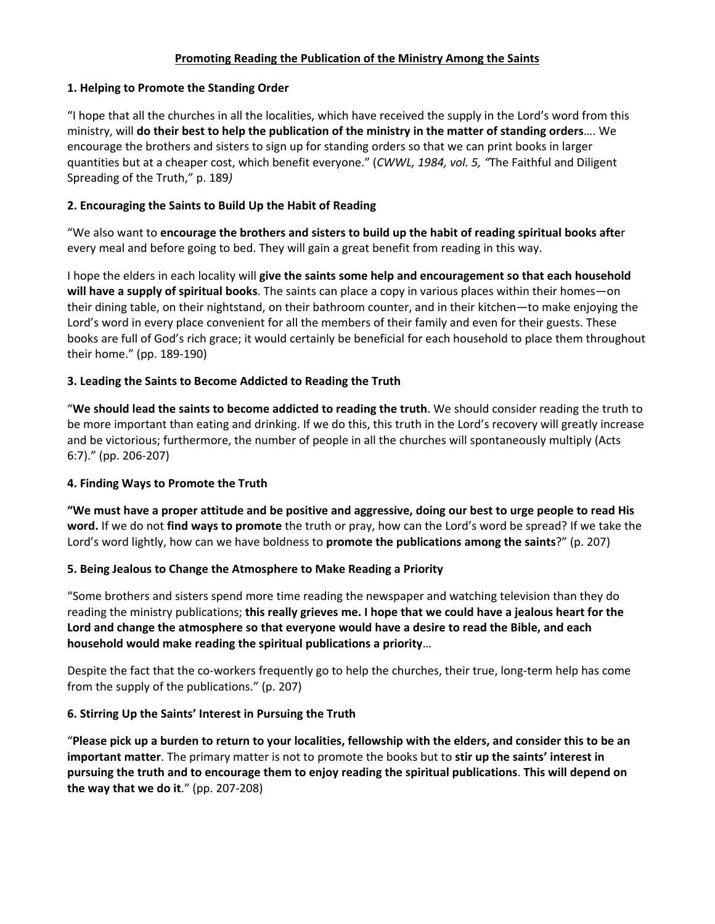#### **Promoting Reading the Publication of the Ministry Among the Saints**

#### **1. Helping to Promote the Standing Order**

"I hope that all the churches in all the localities, which have received the supply in the Lord's word from this ministry, will **do their best to help the publication of the ministry in the matter of standing orders**…. We encourage the brothers and sisters to sign up for standing orders so that we can print books in larger quantities but at a cheaper cost, which benefit everyone." (*CWWL, 1984, vol. 5, "*The Faithful and Diligent Spreading of the Truth," p. 189*)*

# **2. Encouraging the Saints to Build Up the Habit of Reading**

"We also want to **encourage the brothers and sisters to build up the habit of reading spiritual books afte**r every meal and before going to bed. They will gain a great benefit from reading in this way.

I hope the elders in each locality will **give the saints some help and encouragement so that each household will have a supply of spiritual books**. The saints can place a copy in various places within their homes—on their dining table, on their nightstand, on their bathroom counter, and in their kitchen—to make enjoying the Lord's word in every place convenient for all the members of their family and even for their guests. These books are full of God's rich grace; it would certainly be beneficial for each household to place them throughout their home." (pp. 189‐190)

# **3. Leading the Saints to Become Addicted to Reading the Truth**

"**We should lead the saints to become addicted to reading the truth**. We should consider reading the truth to be more important than eating and drinking. If we do this, this truth in the Lord's recovery will greatly increase and be victorious; furthermore, the number of people in all the churches will spontaneously multiply (Acts 6:7)." (pp. 206‐207)

# **4. Finding Ways to Promote the Truth**

**"We must have a proper attitude and be positive and aggressive, doing our best to urge people to read His word.** If we do not **find ways to promote** the truth or pray, how can the Lord's word be spread? If we take the Lord's word lightly, how can we have boldness to **promote the publications among the saints**?" (p. 207)

# **5. Being Jealous to Change the Atmosphere to Make Reading a Priority**

"Some brothers and sisters spend more time reading the newspaper and watching television than they do reading the ministry publications; **this really grieves me. I hope that we could have a jealous heart for the Lord and change the atmosphere so that everyone would have a desire to read the Bible, and each household would make reading the spiritual publications a priority**…

Despite the fact that the co-workers frequently go to help the churches, their true, long-term help has come from the supply of the publications." (p. 207)

# **6. Stirring Up the Saints' Interest in Pursuing the Truth**

"**Please pick up a burden to return to your localities, fellowship with the elders, and consider this to be an important matter**. The primary matter is not to promote the books but to **stir up the saints' interest in pursuing the truth and to encourage them to enjoy reading the spiritual publications**. **This will depend on the way that we do it**." (pp. 207‐208)